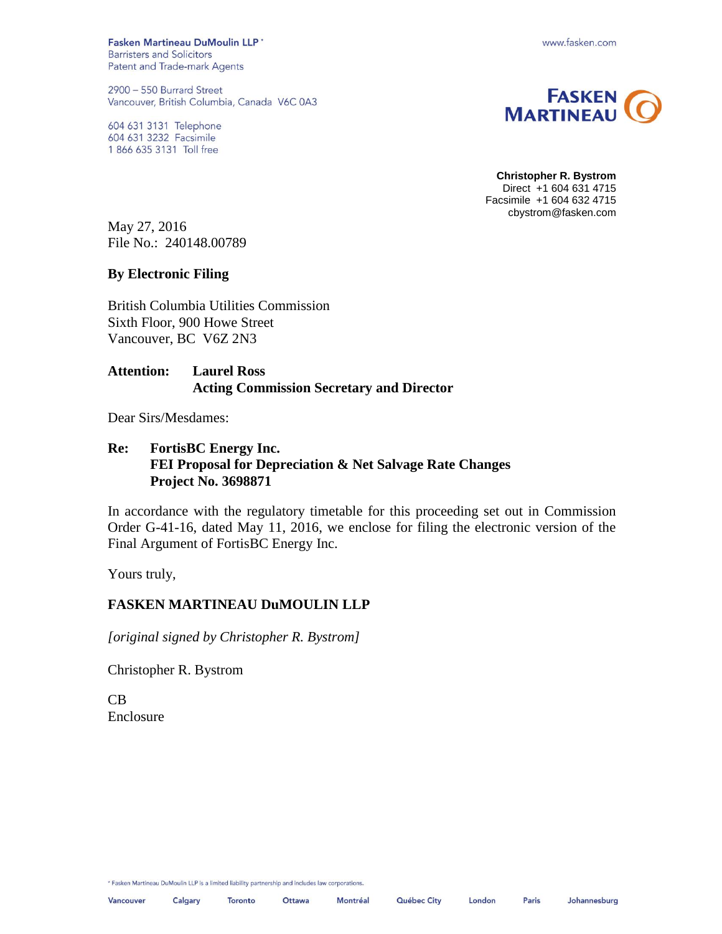Fasken Martineau DuMoulin LLP' **Barristers and Solicitors** Patent and Trade-mark Agents

2900 - 550 Burrard Street Vancouver, British Columbia, Canada V6C 0A3

604 631 3131 Telephone 604 631 3232 Facsimile 1 866 635 3131 Toll free





**Christopher R. Bystrom** Direct +1 604 631 4715 Facsimile +1 604 632 4715 cbystrom@fasken.com

May 27, 2016 File No.: 240148.00789

### **By Electronic Filing**

British Columbia Utilities Commission Sixth Floor, 900 Howe Street Vancouver, BC V6Z 2N3

### **Attention: Laurel Ross Acting Commission Secretary and Director**

Dear Sirs/Mesdames:

### **Re: FortisBC Energy Inc. FEI Proposal for Depreciation & Net Salvage Rate Changes Project No. 3698871**

In accordance with the regulatory timetable for this proceeding set out in Commission Order G-41-16, dated May 11, 2016, we enclose for filing the electronic version of the Final Argument of FortisBC Energy Inc.

Yours truly,

### **FASKEN MARTINEAU DuMOULIN LLP**

*[original signed by Christopher R. Bystrom]*

Christopher R. Bystrom

CB Enclosure

\* Fasken Martineau DuMoulin LLP is a limited liability partnership and includes law corporations.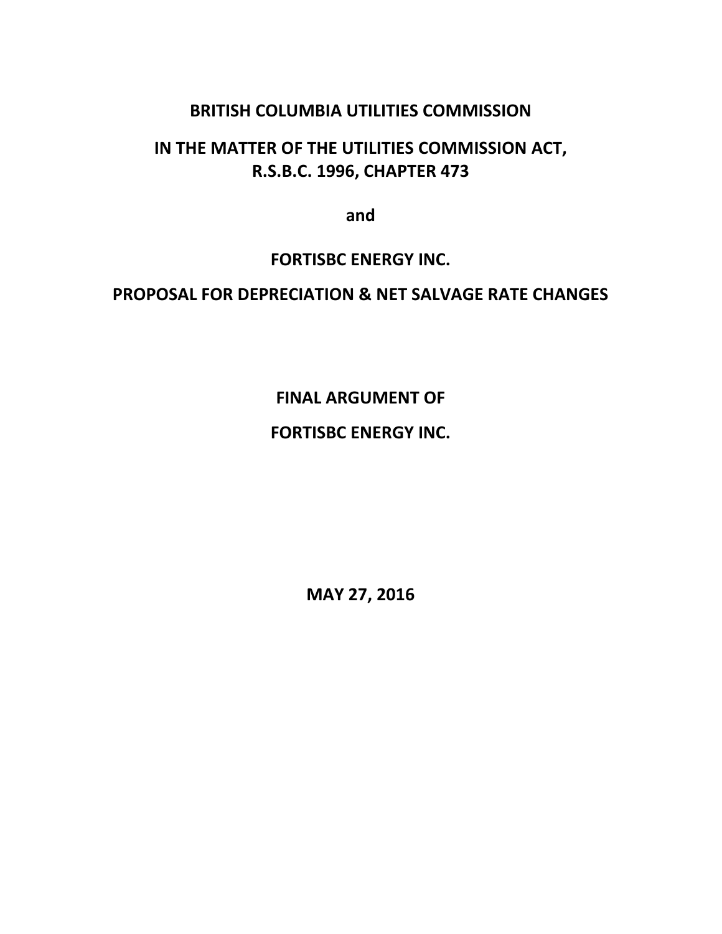# **BRITISH COLUMBIA UTILITIES COMMISSION**

# **IN THE MATTER OF THE UTILITIES COMMISSION ACT, R.S.B.C. 1996, CHAPTER 473**

**and**

## **FORTISBC ENERGY INC.**

# **PROPOSAL FOR DEPRECIATION & NET SALVAGE RATE CHANGES**

# **FINAL ARGUMENT OF**

# **FORTISBC ENERGY INC.**

**MAY 27, 2016**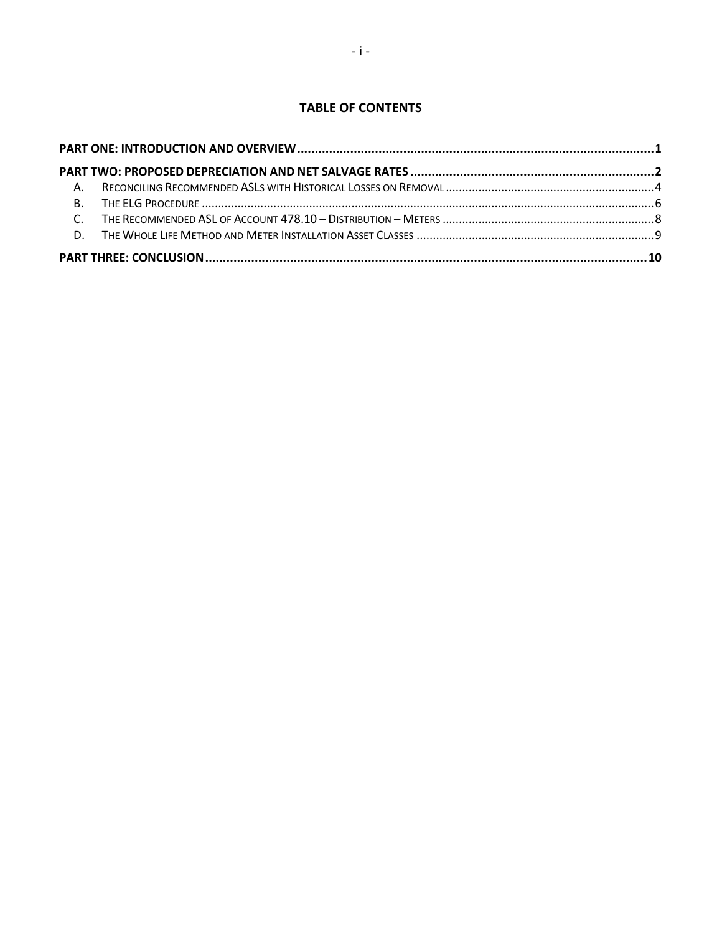### **TABLE OF CONTENTS**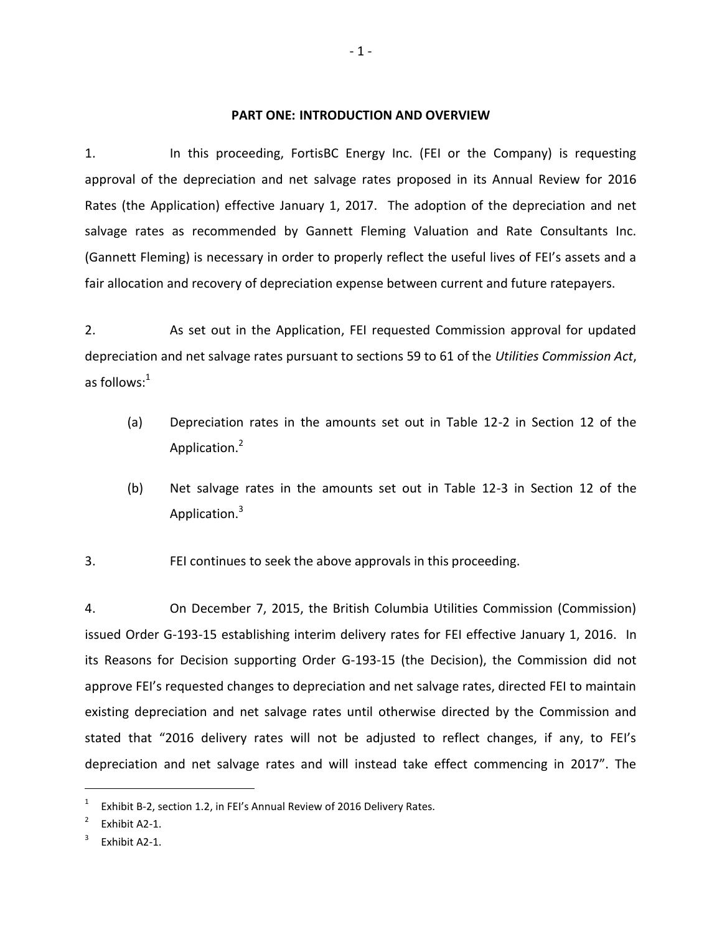#### **PART ONE: INTRODUCTION AND OVERVIEW**

<span id="page-3-0"></span>1. In this proceeding, FortisBC Energy Inc. (FEI or the Company) is requesting approval of the depreciation and net salvage rates proposed in its Annual Review for 2016 Rates (the Application) effective January 1, 2017. The adoption of the depreciation and net salvage rates as recommended by Gannett Fleming Valuation and Rate Consultants Inc. (Gannett Fleming) is necessary in order to properly reflect the useful lives of FEI's assets and a fair allocation and recovery of depreciation expense between current and future ratepayers.

2. As set out in the Application, FEI requested Commission approval for updated depreciation and net salvage rates pursuant to sections 59 to 61 of the *Utilities Commission Act*, as follows: $1$ 

- (a) Depreciation rates in the amounts set out in Table 12-2 in Section 12 of the Application.<sup>2</sup>
- (b) Net salvage rates in the amounts set out in Table 12-3 in Section 12 of the Application.<sup>3</sup>

3. FEI continues to seek the above approvals in this proceeding.

4. On December 7, 2015, the British Columbia Utilities Commission (Commission) issued Order G-193-15 establishing interim delivery rates for FEI effective January 1, 2016. In its Reasons for Decision supporting Order G-193-15 (the Decision), the Commission did not approve FEI's requested changes to depreciation and net salvage rates, directed FEI to maintain existing depreciation and net salvage rates until otherwise directed by the Commission and stated that "2016 delivery rates will not be adjusted to reflect changes, if any, to FEI's depreciation and net salvage rates and will instead take effect commencing in 2017". The

<sup>1</sup> Exhibit B-2, section 1.2, in FEI's Annual Review of 2016 Delivery Rates.

<sup>2</sup> Exhibit A2-1.

<sup>3</sup> Exhibit A2-1.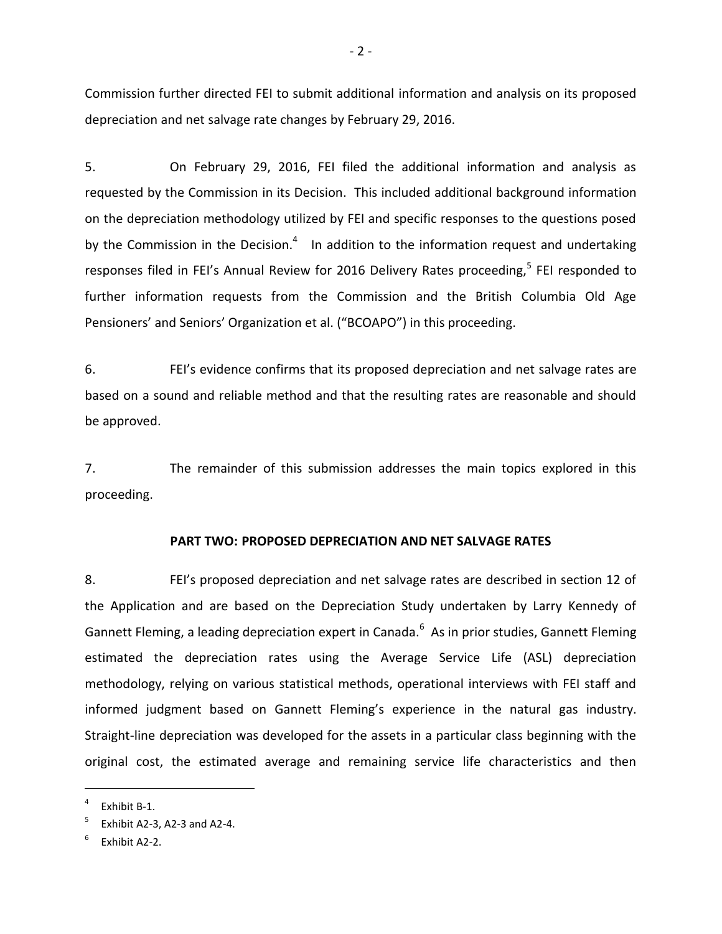Commission further directed FEI to submit additional information and analysis on its proposed depreciation and net salvage rate changes by February 29, 2016.

5. On February 29, 2016, FEI filed the additional information and analysis as requested by the Commission in its Decision. This included additional background information on the depreciation methodology utilized by FEI and specific responses to the questions posed by the Commission in the Decision. $4$  In addition to the information request and undertaking responses filed in FEI's Annual Review for 2016 Delivery Rates proceeding,<sup>5</sup> FEI responded to further information requests from the Commission and the British Columbia Old Age Pensioners' and Seniors' Organization et al. ("BCOAPO") in this proceeding.

6. FEI's evidence confirms that its proposed depreciation and net salvage rates are based on a sound and reliable method and that the resulting rates are reasonable and should be approved.

7. The remainder of this submission addresses the main topics explored in this proceeding.

#### **PART TWO: PROPOSED DEPRECIATION AND NET SALVAGE RATES**

<span id="page-4-0"></span>8. FEI's proposed depreciation and net salvage rates are described in section 12 of the Application and are based on the Depreciation Study undertaken by Larry Kennedy of Gannett Fleming, a leading depreciation expert in Canada.<sup>6</sup> As in prior studies, Gannett Fleming estimated the depreciation rates using the Average Service Life (ASL) depreciation methodology, relying on various statistical methods, operational interviews with FEI staff and informed judgment based on Gannett Fleming's experience in the natural gas industry. Straight-line depreciation was developed for the assets in a particular class beginning with the original cost, the estimated average and remaining service life characteristics and then

<sup>4</sup> Exhibit B-1.

<sup>5</sup> Exhibit A2-3, A2-3 and A2-4.

<sup>6</sup> Exhibit A2-2.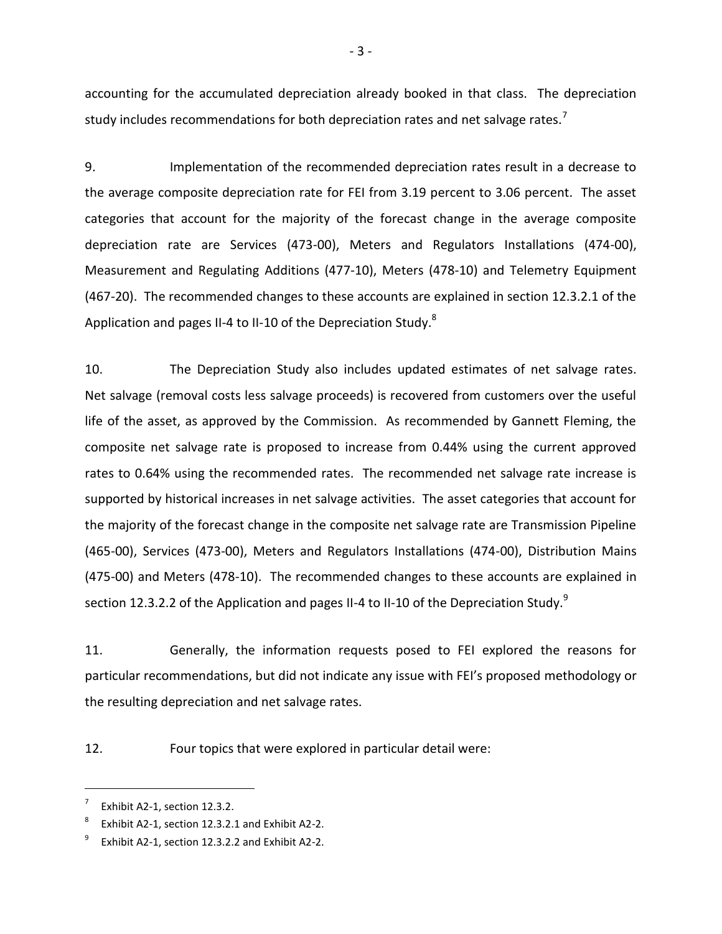accounting for the accumulated depreciation already booked in that class. The depreciation study includes recommendations for both depreciation rates and net salvage rates.<sup>7</sup>

9. Implementation of the recommended depreciation rates result in a decrease to the average composite depreciation rate for FEI from 3.19 percent to 3.06 percent. The asset categories that account for the majority of the forecast change in the average composite depreciation rate are Services (473-00), Meters and Regulators Installations (474-00), Measurement and Regulating Additions (477-10), Meters (478-10) and Telemetry Equipment (467-20). The recommended changes to these accounts are explained in section 12.3.2.1 of the Application and pages II-4 to II-10 of the Depreciation Study. $8$ 

10. The Depreciation Study also includes updated estimates of net salvage rates. Net salvage (removal costs less salvage proceeds) is recovered from customers over the useful life of the asset, as approved by the Commission. As recommended by Gannett Fleming, the composite net salvage rate is proposed to increase from 0.44% using the current approved rates to 0.64% using the recommended rates. The recommended net salvage rate increase is supported by historical increases in net salvage activities. The asset categories that account for the majority of the forecast change in the composite net salvage rate are Transmission Pipeline (465-00), Services (473-00), Meters and Regulators Installations (474-00), Distribution Mains (475-00) and Meters (478-10). The recommended changes to these accounts are explained in section 12.3.2.2 of the Application and pages II-4 to II-10 of the Depreciation Study.<sup>9</sup>

11. Generally, the information requests posed to FEI explored the reasons for particular recommendations, but did not indicate any issue with FEI's proposed methodology or the resulting depreciation and net salvage rates.

12. Four topics that were explored in particular detail were:

<sup>7</sup> Exhibit A2-1, section 12.3.2.

<sup>8</sup> Exhibit A2-1, section 12.3.2.1 and Exhibit A2-2.

<sup>9</sup> Exhibit A2-1, section 12.3.2.2 and Exhibit A2-2.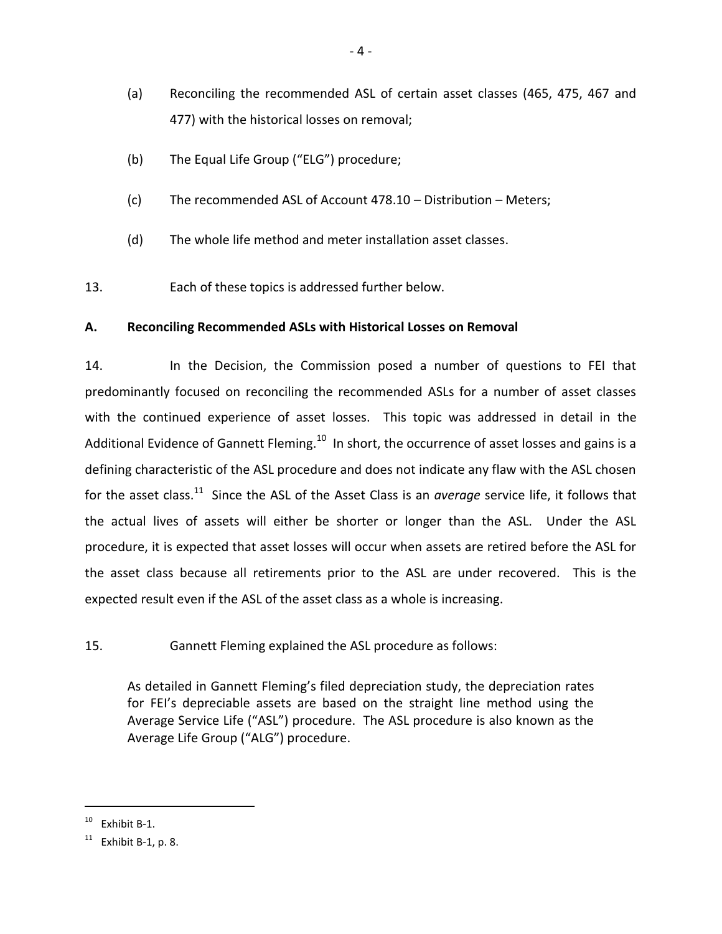- (a) Reconciling the recommended ASL of certain asset classes (465, 475, 467 and 477) with the historical losses on removal;
- (b) The Equal Life Group ("ELG") procedure;
- (c) The recommended ASL of Account 478.10 Distribution Meters;
- (d) The whole life method and meter installation asset classes.
- 13. Each of these topics is addressed further below.

## <span id="page-6-0"></span>**A. Reconciling Recommended ASLs with Historical Losses on Removal**

14. In the Decision, the Commission posed a number of questions to FEI that predominantly focused on reconciling the recommended ASLs for a number of asset classes with the continued experience of asset losses. This topic was addressed in detail in the Additional Evidence of Gannett Fleming.<sup>10</sup> In short, the occurrence of asset losses and gains is a defining characteristic of the ASL procedure and does not indicate any flaw with the ASL chosen for the asset class.<sup>11</sup> Since the ASL of the Asset Class is an *average* service life, it follows that the actual lives of assets will either be shorter or longer than the ASL. Under the ASL procedure, it is expected that asset losses will occur when assets are retired before the ASL for the asset class because all retirements prior to the ASL are under recovered. This is the expected result even if the ASL of the asset class as a whole is increasing.

## 15. Gannett Fleming explained the ASL procedure as follows:

As detailed in Gannett Fleming's filed depreciation study, the depreciation rates for FEI's depreciable assets are based on the straight line method using the Average Service Life ("ASL") procedure. The ASL procedure is also known as the Average Life Group ("ALG") procedure.

 $10$  Exhibit B-1.

 $11$  Exhibit B-1, p. 8.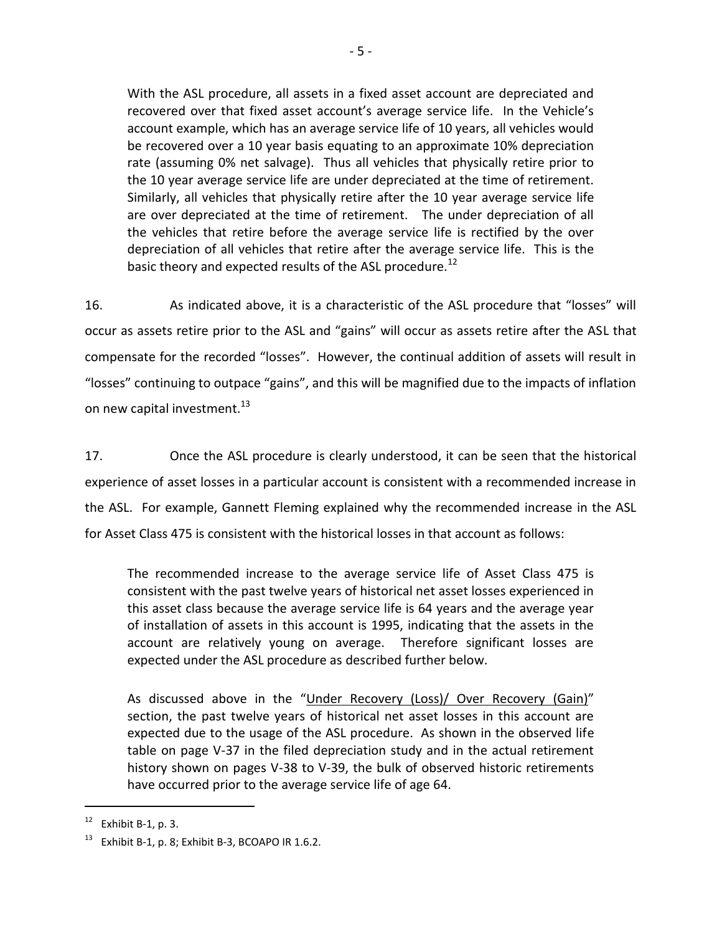With the ASL procedure, all assets in a fixed asset account are depreciated and recovered over that fixed asset account's average service life. In the Vehicle's account example, which has an average service life of 10 years, all vehicles would be recovered over a 10 year basis equating to an approximate 10% depreciation rate (assuming 0% net salvage). Thus all vehicles that physically retire prior to the 10 year average service life are under depreciated at the time of retirement. Similarly, all vehicles that physically retire after the 10 year average service life are over depreciated at the time of retirement. The under depreciation of all the vehicles that retire before the average service life is rectified by the over depreciation of all vehicles that retire after the average service life. This is the basic theory and expected results of the ASL procedure.<sup>12</sup>

16. As indicated above, it is a characteristic of the ASL procedure that "losses" will occur as assets retire prior to the ASL and "gains" will occur as assets retire after the ASL that compensate for the recorded "losses". However, the continual addition of assets will result in "losses" continuing to outpace "gains", and this will be magnified due to the impacts of inflation on new capital investment.<sup>13</sup>

17. Once the ASL procedure is clearly understood, it can be seen that the historical experience of asset losses in a particular account is consistent with a recommended increase in the ASL. For example, Gannett Fleming explained why the recommended increase in the ASL for Asset Class 475 is consistent with the historical losses in that account as follows:

The recommended increase to the average service life of Asset Class 475 is consistent with the past twelve years of historical net asset losses experienced in this asset class because the average service life is 64 years and the average year of installation of assets in this account is 1995, indicating that the assets in the account are relatively young on average. Therefore significant losses are expected under the ASL procedure as described further below.

As discussed above in the "Under Recovery (Loss)/ Over Recovery (Gain)" section, the past twelve years of historical net asset losses in this account are expected due to the usage of the ASL procedure. As shown in the observed life table on page V-37 in the filed depreciation study and in the actual retirement history shown on pages V-38 to V-39, the bulk of observed historic retirements have occurred prior to the average service life of age 64.

 $12$  Exhibit B-1, p. 3.

 $13$  Exhibit B-1, p. 8; Exhibit B-3, BCOAPO IR 1.6.2.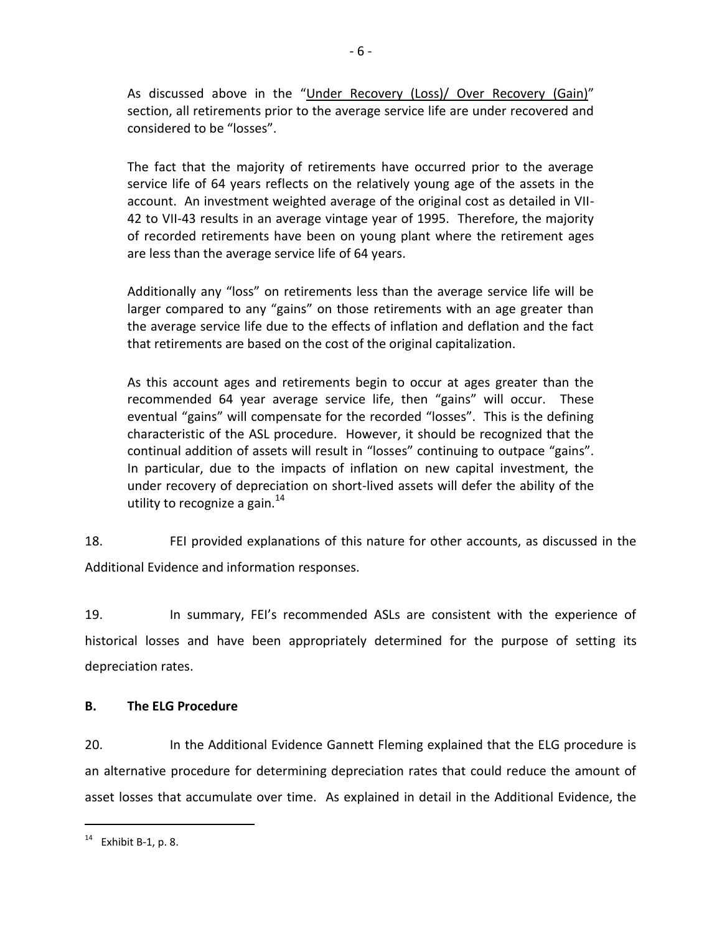As discussed above in the "Under Recovery (Loss)/ Over Recovery (Gain)" section, all retirements prior to the average service life are under recovered and considered to be "losses".

The fact that the majority of retirements have occurred prior to the average service life of 64 years reflects on the relatively young age of the assets in the account. An investment weighted average of the original cost as detailed in VII-42 to VII-43 results in an average vintage year of 1995. Therefore, the majority of recorded retirements have been on young plant where the retirement ages are less than the average service life of 64 years.

Additionally any "loss" on retirements less than the average service life will be larger compared to any "gains" on those retirements with an age greater than the average service life due to the effects of inflation and deflation and the fact that retirements are based on the cost of the original capitalization.

As this account ages and retirements begin to occur at ages greater than the recommended 64 year average service life, then "gains" will occur. These eventual "gains" will compensate for the recorded "losses". This is the defining characteristic of the ASL procedure. However, it should be recognized that the continual addition of assets will result in "losses" continuing to outpace "gains". In particular, due to the impacts of inflation on new capital investment, the under recovery of depreciation on short-lived assets will defer the ability of the utility to recognize a gain. $^{14}$ 

18. FEI provided explanations of this nature for other accounts, as discussed in the Additional Evidence and information responses.

19. In summary, FEI's recommended ASLs are consistent with the experience of historical losses and have been appropriately determined for the purpose of setting its depreciation rates.

## <span id="page-8-0"></span>**B. The ELG Procedure**

20. In the Additional Evidence Gannett Fleming explained that the ELG procedure is an alternative procedure for determining depreciation rates that could reduce the amount of asset losses that accumulate over time. As explained in detail in the Additional Evidence, the

 $14$  Exhibit B-1, p. 8.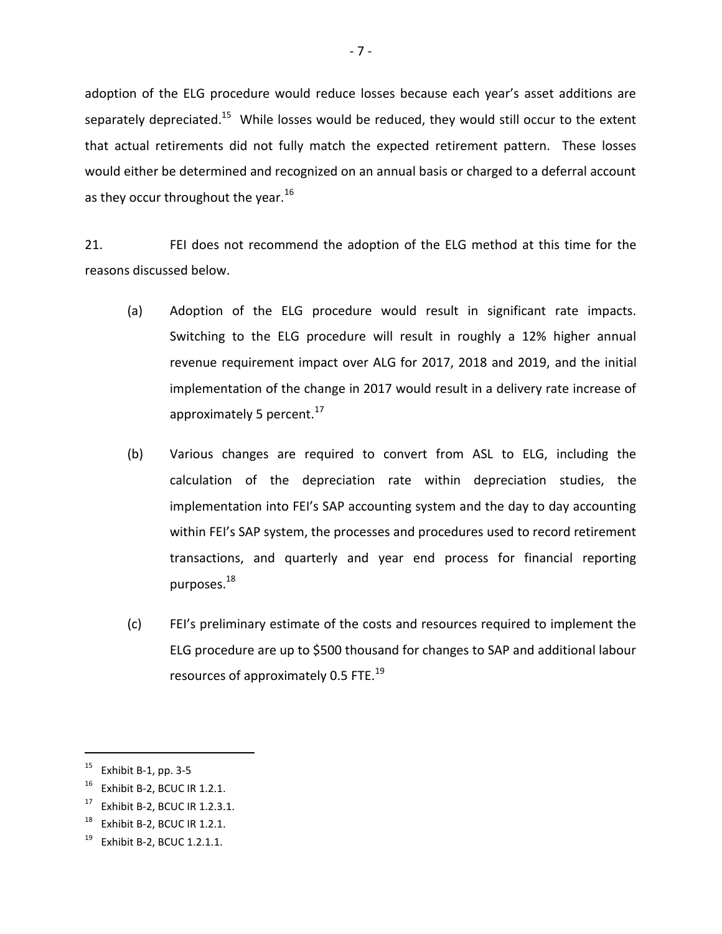adoption of the ELG procedure would reduce losses because each year's asset additions are separately depreciated.<sup>15</sup> While losses would be reduced, they would still occur to the extent that actual retirements did not fully match the expected retirement pattern. These losses would either be determined and recognized on an annual basis or charged to a deferral account as they occur throughout the year. $^{16}$ 

21. FEI does not recommend the adoption of the ELG method at this time for the reasons discussed below.

- (a) Adoption of the ELG procedure would result in significant rate impacts. Switching to the ELG procedure will result in roughly a 12% higher annual revenue requirement impact over ALG for 2017, 2018 and 2019, and the initial implementation of the change in 2017 would result in a delivery rate increase of approximately 5 percent.<sup>17</sup>
- (b) Various changes are required to convert from ASL to ELG, including the calculation of the depreciation rate within depreciation studies, the implementation into FEI's SAP accounting system and the day to day accounting within FEI's SAP system, the processes and procedures used to record retirement transactions, and quarterly and year end process for financial reporting purposes. $^{18}$
- (c) FEI's preliminary estimate of the costs and resources required to implement the ELG procedure are up to \$500 thousand for changes to SAP and additional labour resources of approximately 0.5 FTE.<sup>19</sup>

 $15$  Exhibit B-1, pp. 3-5

 $16$  Exhibit B-2, BCUC IR 1.2.1.

<sup>17</sup> Exhibit B-2, BCUC IR 1.2.3.1.

 $18$  Exhibit B-2, BCUC IR 1.2.1.

 $19$  Exhibit B-2, BCUC 1.2.1.1.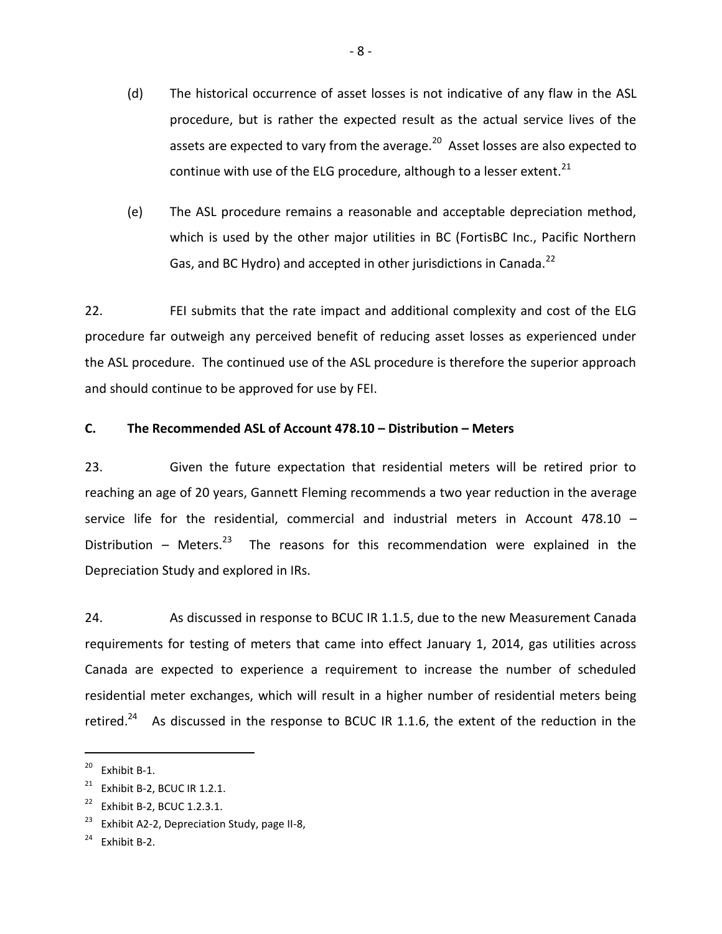- (d) The historical occurrence of asset losses is not indicative of any flaw in the ASL procedure, but is rather the expected result as the actual service lives of the assets are expected to vary from the average.<sup>20</sup> Asset losses are also expected to continue with use of the ELG procedure, although to a lesser extent. $^{21}$
- (e) The ASL procedure remains a reasonable and acceptable depreciation method, which is used by the other major utilities in BC (FortisBC Inc., Pacific Northern Gas, and BC Hydro) and accepted in other jurisdictions in Canada.<sup>22</sup>

22. FEI submits that the rate impact and additional complexity and cost of the ELG procedure far outweigh any perceived benefit of reducing asset losses as experienced under the ASL procedure. The continued use of the ASL procedure is therefore the superior approach and should continue to be approved for use by FEI.

### <span id="page-10-0"></span>**C. The Recommended ASL of Account 478.10 – Distribution – Meters**

23. Given the future expectation that residential meters will be retired prior to reaching an age of 20 years, Gannett Fleming recommends a two year reduction in the average service life for the residential, commercial and industrial meters in Account 478.10 – Distribution – Meters. $23$  The reasons for this recommendation were explained in the Depreciation Study and explored in IRs.

24. As discussed in response to BCUC IR 1.1.5, due to the new Measurement Canada requirements for testing of meters that came into effect January 1, 2014, gas utilities across Canada are expected to experience a requirement to increase the number of scheduled residential meter exchanges, which will result in a higher number of residential meters being retired.<sup>24</sup> As discussed in the response to BCUC IR 1.1.6, the extent of the reduction in the

<sup>20</sup> Exhibit B-1.

 $21$  Exhibit B-2, BCUC IR 1.2.1.

 $22$  Exhibit B-2, BCUC 1.2.3.1.

<sup>&</sup>lt;sup>23</sup> Exhibit A2-2, Depreciation Study, page II-8,

 $24$  Fxhihit B-2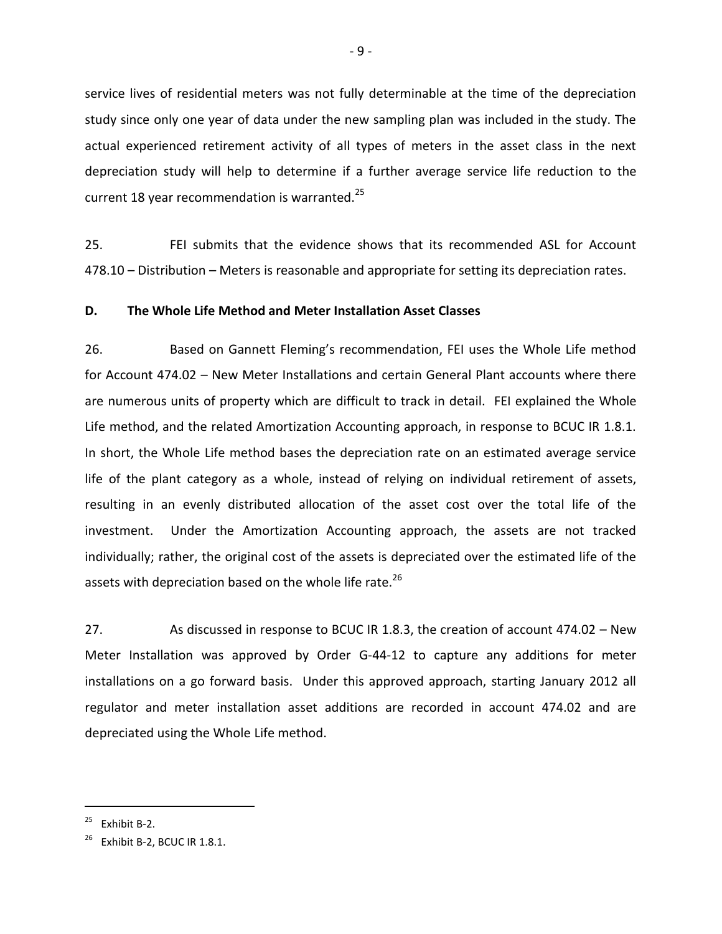service lives of residential meters was not fully determinable at the time of the depreciation study since only one year of data under the new sampling plan was included in the study. The actual experienced retirement activity of all types of meters in the asset class in the next depreciation study will help to determine if a further average service life reduction to the current 18 year recommendation is warranted. $^{25}$ 

25. FEI submits that the evidence shows that its recommended ASL for Account 478.10 – Distribution – Meters is reasonable and appropriate for setting its depreciation rates.

### <span id="page-11-0"></span>**D. The Whole Life Method and Meter Installation Asset Classes**

26. Based on Gannett Fleming's recommendation, FEI uses the Whole Life method for Account 474.02 – New Meter Installations and certain General Plant accounts where there are numerous units of property which are difficult to track in detail. FEI explained the Whole Life method, and the related Amortization Accounting approach, in response to BCUC IR 1.8.1. In short, the Whole Life method bases the depreciation rate on an estimated average service life of the plant category as a whole, instead of relying on individual retirement of assets, resulting in an evenly distributed allocation of the asset cost over the total life of the investment. Under the Amortization Accounting approach, the assets are not tracked individually; rather, the original cost of the assets is depreciated over the estimated life of the assets with depreciation based on the whole life rate.<sup>26</sup>

27. As discussed in response to BCUC IR 1.8.3, the creation of account 474.02 – New Meter Installation was approved by Order G-44-12 to capture any additions for meter installations on a go forward basis. Under this approved approach, starting January 2012 all regulator and meter installation asset additions are recorded in account 474.02 and are depreciated using the Whole Life method.

 $25$  Exhibit B-2.

 $^{26}$  Exhibit B-2, BCUC IR 1.8.1.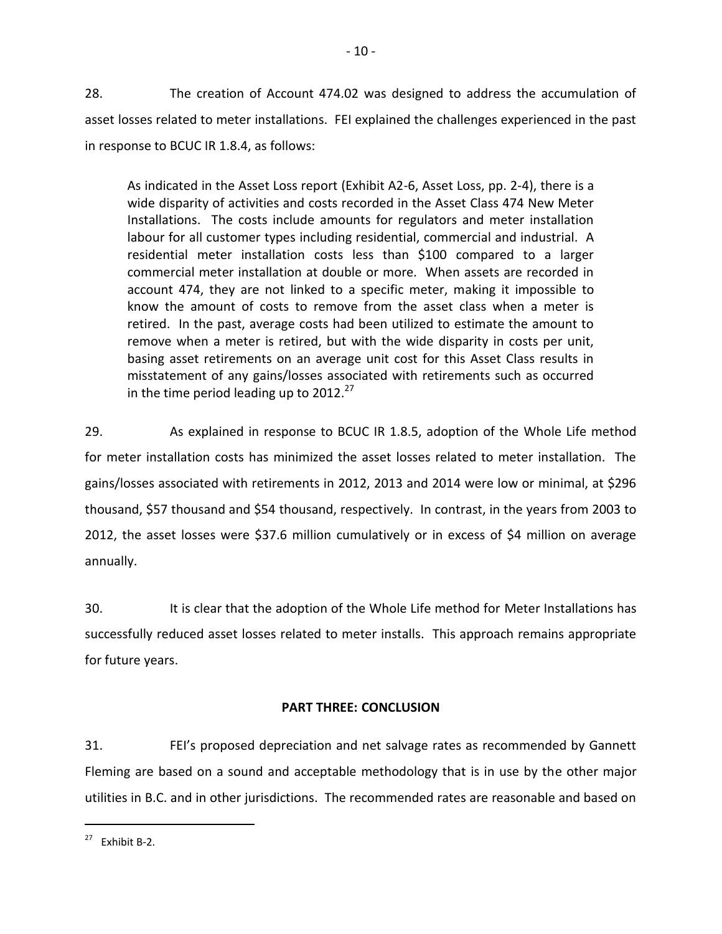28. The creation of Account 474.02 was designed to address the accumulation of asset losses related to meter installations. FEI explained the challenges experienced in the past in response to BCUC IR 1.8.4, as follows:

As indicated in the Asset Loss report (Exhibit A2-6, Asset Loss, pp. 2-4), there is a wide disparity of activities and costs recorded in the Asset Class 474 New Meter Installations. The costs include amounts for regulators and meter installation labour for all customer types including residential, commercial and industrial. A residential meter installation costs less than \$100 compared to a larger commercial meter installation at double or more. When assets are recorded in account 474, they are not linked to a specific meter, making it impossible to know the amount of costs to remove from the asset class when a meter is retired. In the past, average costs had been utilized to estimate the amount to remove when a meter is retired, but with the wide disparity in costs per unit, basing asset retirements on an average unit cost for this Asset Class results in misstatement of any gains/losses associated with retirements such as occurred in the time period leading up to  $2012.<sup>27</sup>$ 

29. As explained in response to BCUC IR 1.8.5, adoption of the Whole Life method for meter installation costs has minimized the asset losses related to meter installation. The gains/losses associated with retirements in 2012, 2013 and 2014 were low or minimal, at \$296 thousand, \$57 thousand and \$54 thousand, respectively. In contrast, in the years from 2003 to 2012, the asset losses were \$37.6 million cumulatively or in excess of \$4 million on average annually.

30. It is clear that the adoption of the Whole Life method for Meter Installations has successfully reduced asset losses related to meter installs. This approach remains appropriate for future years.

## **PART THREE: CONCLUSION**

<span id="page-12-0"></span>31. FEI's proposed depreciation and net salvage rates as recommended by Gannett Fleming are based on a sound and acceptable methodology that is in use by the other major utilities in B.C. and in other jurisdictions. The recommended rates are reasonable and based on

 $27$  Fxhibit B-2.